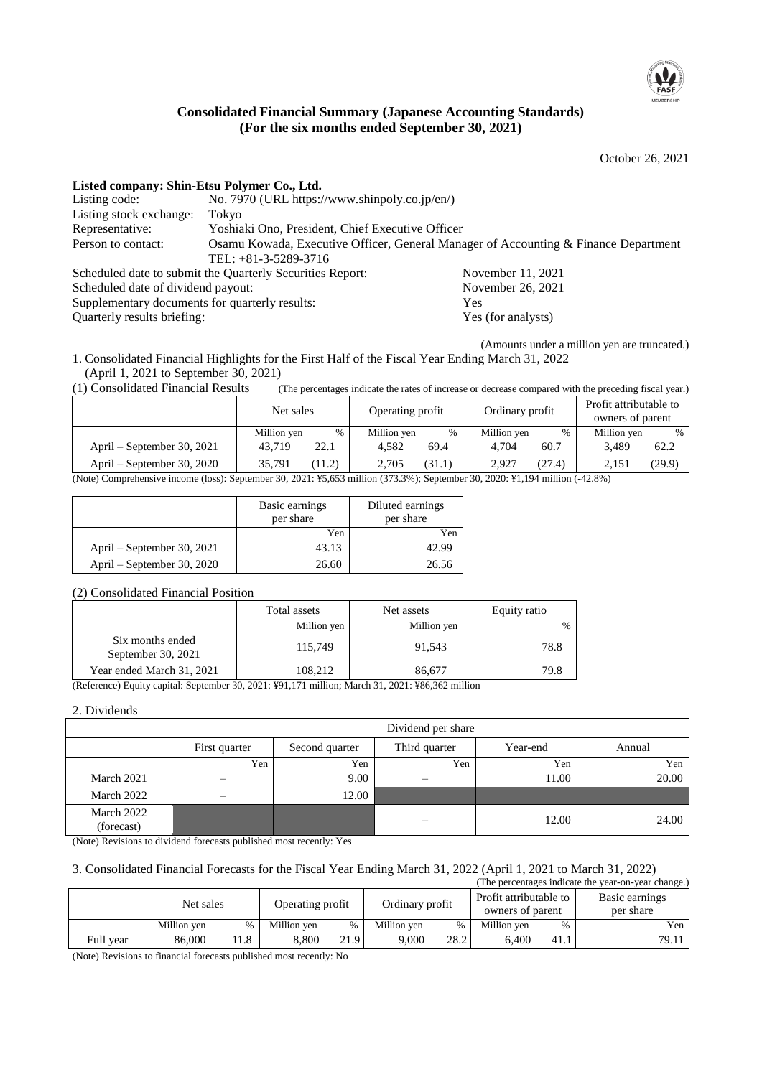

### **Consolidated Financial Summary (Japanese Accounting Standards) (For the six months ended September 30, 2021)**

October 26, 2021

| Listed company: Shin-Etsu Polymer Co., Ltd.                  |                                                                                     |                    |  |  |  |  |
|--------------------------------------------------------------|-------------------------------------------------------------------------------------|--------------------|--|--|--|--|
| Listing code:                                                | No. 7970 (URL https://www.shinpoly.co.jp/en/)                                       |                    |  |  |  |  |
| Listing stock exchange:                                      | Tokyo                                                                               |                    |  |  |  |  |
| Representative:                                              | Yoshiaki Ono, President, Chief Executive Officer                                    |                    |  |  |  |  |
| Person to contact:                                           | Osamu Kowada, Executive Officer, General Manager of Accounting & Finance Department |                    |  |  |  |  |
|                                                              | TEL: $+81-3-5289-3716$                                                              |                    |  |  |  |  |
|                                                              | Scheduled date to submit the Quarterly Securities Report:                           | November 11, 2021  |  |  |  |  |
| Scheduled date of dividend payout:                           |                                                                                     | November 26, 2021  |  |  |  |  |
| Supplementary documents for quarterly results:<br><b>Yes</b> |                                                                                     |                    |  |  |  |  |
| Quarterly results briefing:                                  |                                                                                     | Yes (for analysts) |  |  |  |  |

(Amounts under a million yen are truncated.) 1. Consolidated Financial Highlights for the First Half of the Fiscal Year Ending March 31, 2022

(April 1, 2021 to September 30, 2021)

(1) Consolidated Financial Results (The percentages indicate the rates of increase or decrease compared with the preceding fiscal year.)

|                                                                                                                                                                                                                               | Net sales   |        | Operating profit |        | Ordinary profit |        | Profit attributable to<br>owners of parent |        |
|-------------------------------------------------------------------------------------------------------------------------------------------------------------------------------------------------------------------------------|-------------|--------|------------------|--------|-----------------|--------|--------------------------------------------|--------|
|                                                                                                                                                                                                                               | Million yen | %      | Million yen      | %      | Million yen     | $\%$   | Million yen                                | %      |
| April – September 30, 2021                                                                                                                                                                                                    | 43.719      | 22.1   | 4.582            | 69.4   | 4.704           | 60.7   | 3.489                                      | 62.2   |
| April – September 30, 2020                                                                                                                                                                                                    | 35.791      | (11.2) | 2.705            | (31.1) | 2.927           | (27.4) | 2.15                                       | (29.9) |
| (Meta) $C_1$ and the same $C_2$ and $C_3$ and $C_4$ and $C_5$ and $C_6$ and $C_7$ and $C_8$ and $C_9$ and $C_9$ and $C_9$ and $C_9$ and $C_9$ and $C_9$ and $C_9$ and $C_9$ and $C_9$ and $C_9$ and $C_9$ and $C_9$ and $C_9$ |             |        |                  |        |                 |        |                                            |        |

(Note) Comprehensive income (loss): September 30, 2021: ¥5,653 million (373.3%); September 30, 2020: ¥1,194 million (-42.8%)

|                            | Basic earnings<br>per share | Diluted earnings<br>per share |
|----------------------------|-----------------------------|-------------------------------|
|                            | Yen                         | Yen                           |
| April – September 30, 2021 | 43.13                       | 42.99                         |
| April – September 30, 2020 | 26.60                       | 26.56                         |

#### (2) Consolidated Financial Position

|                                        | Total assets | Net assets  | Equity ratio |
|----------------------------------------|--------------|-------------|--------------|
|                                        | Million yen  | Million yen | $\%$         |
| Six months ended<br>September 30, 2021 | 115,749      | 91.543      | 78.8         |
| Year ended March 31, 2021              | 108,212      | 86,677      | 79.8         |

(Reference) Equity capital: September 30, 2021: ¥91,171 million; March 31, 2021: ¥86,362 million

#### 2. Dividends

|                          | Dividend per share |                |               |          |        |  |
|--------------------------|--------------------|----------------|---------------|----------|--------|--|
|                          | First quarter      | Second quarter | Third quarter | Year-end | Annual |  |
|                          | Yen                | Yen            | Yen           | Yen      | Yen    |  |
| March 2021               |                    | 9.00           | –             | 11.00    | 20.00  |  |
| March 2022               | –                  | 12.00          |               |          |        |  |
| March 2022<br>(forecast) |                    |                |               | 12.00    | 24.00  |  |

(Note) Revisions to dividend forecasts published most recently: Yes

#### 3. Consolidated Financial Forecasts for the Fiscal Year Ending March 31, 2022 (April 1, 2021 to March 31, 2022)

|           |             |     |                  |      |                 |      |                                            |      | (The percentages indicate the year-on-year change.) |
|-----------|-------------|-----|------------------|------|-----------------|------|--------------------------------------------|------|-----------------------------------------------------|
|           | Net sales   |     | Operating profit |      | Ordinary profit |      | Profit attributable to<br>owners of parent |      | Basic earnings<br>per share                         |
|           | Million yen | %   | Million yen      | %    | Million yen     | %    | Million yen                                | $\%$ | Yen                                                 |
| Full vear | 86,000      | 1.8 | 8.800            | 21.9 | 9.000           | 28.2 | 6.400                                      | 41.1 | 79.11                                               |

(Note) Revisions to financial forecasts published most recently: No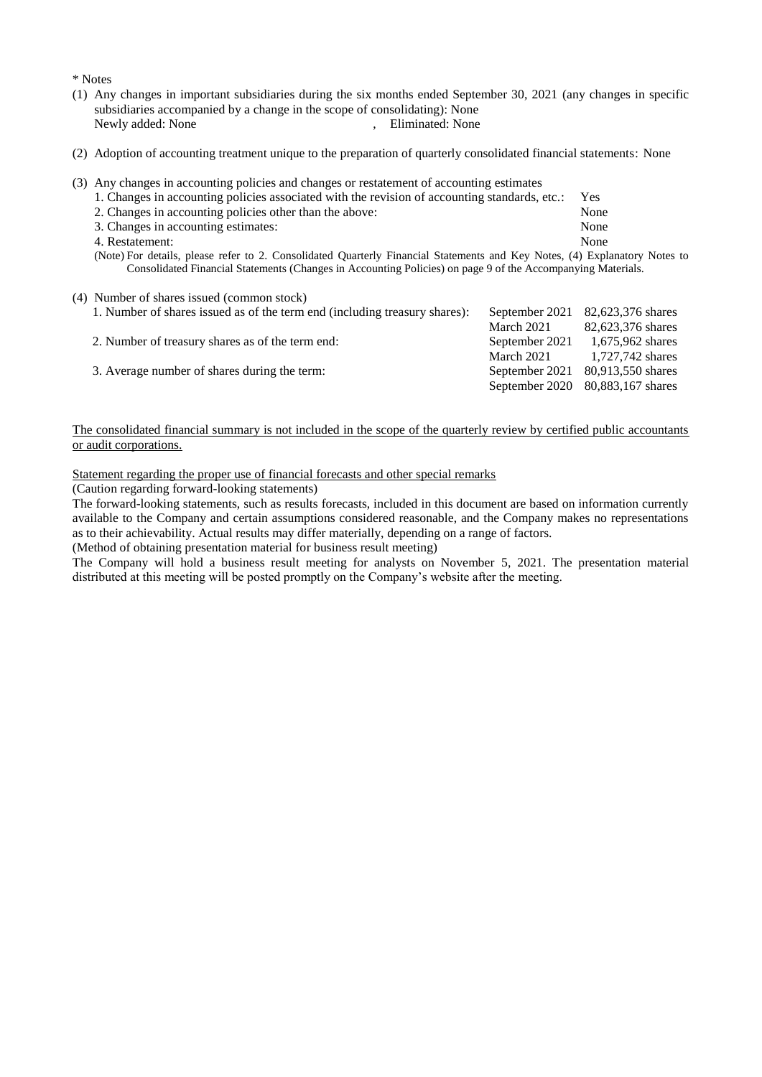\* Notes

- (1) Any changes in important subsidiaries during the six months ended September 30, 2021 (any changes in specific subsidiaries accompanied by a change in the scope of consolidating): None<br>Newly added: None<br>Fliminated: None , Eliminated: None
- (2) Adoption of accounting treatment unique to the preparation of quarterly consolidated financial statements: None
- (3) Any changes in accounting policies and changes or restatement of accounting estimates

|  |  |  |  |  | 1. Changes in accounting policies associated with the revision of accounting standards, etc.: Yes |  |  |
|--|--|--|--|--|---------------------------------------------------------------------------------------------------|--|--|
|--|--|--|--|--|---------------------------------------------------------------------------------------------------|--|--|

- 2. Changes in accounting policies other than the above: None
- 3. Changes in accounting estimates: None
- 4. Restatement: None

(Note) For details, please refer to 2. Consolidated Quarterly Financial Statements and Key Notes, (4) Explanatory Notes to Consolidated Financial Statements (Changes in Accounting Policies) on page 9 of the Accompanying Materials.

#### (4) Number of shares issued (common stock)

| 1. Number of shares issued as of the term end (including treasury shares): | September 2021 | 82,623,376 shares                |
|----------------------------------------------------------------------------|----------------|----------------------------------|
|                                                                            | March 2021     | 82,623,376 shares                |
| 2. Number of treasury shares as of the term end:                           | September 2021 | 1,675,962 shares                 |
|                                                                            | March 2021     | 1,727,742 shares                 |
| 3. Average number of shares during the term:                               | September 2021 | 80,913,550 shares                |
|                                                                            |                | September 2020 80,883,167 shares |

#### The consolidated financial summary is not included in the scope of the quarterly review by certified public accountants or audit corporations.

Statement regarding the proper use of financial forecasts and other special remarks

(Caution regarding forward-looking statements)

The forward-looking statements, such as results forecasts, included in this document are based on information currently available to the Company and certain assumptions considered reasonable, and the Company makes no representations as to their achievability. Actual results may differ materially, depending on a range of factors.

(Method of obtaining presentation material for business result meeting)

The Company will hold a business result meeting for analysts on November 5, 2021. The presentation material distributed at this meeting will be posted promptly on the Company's website after the meeting.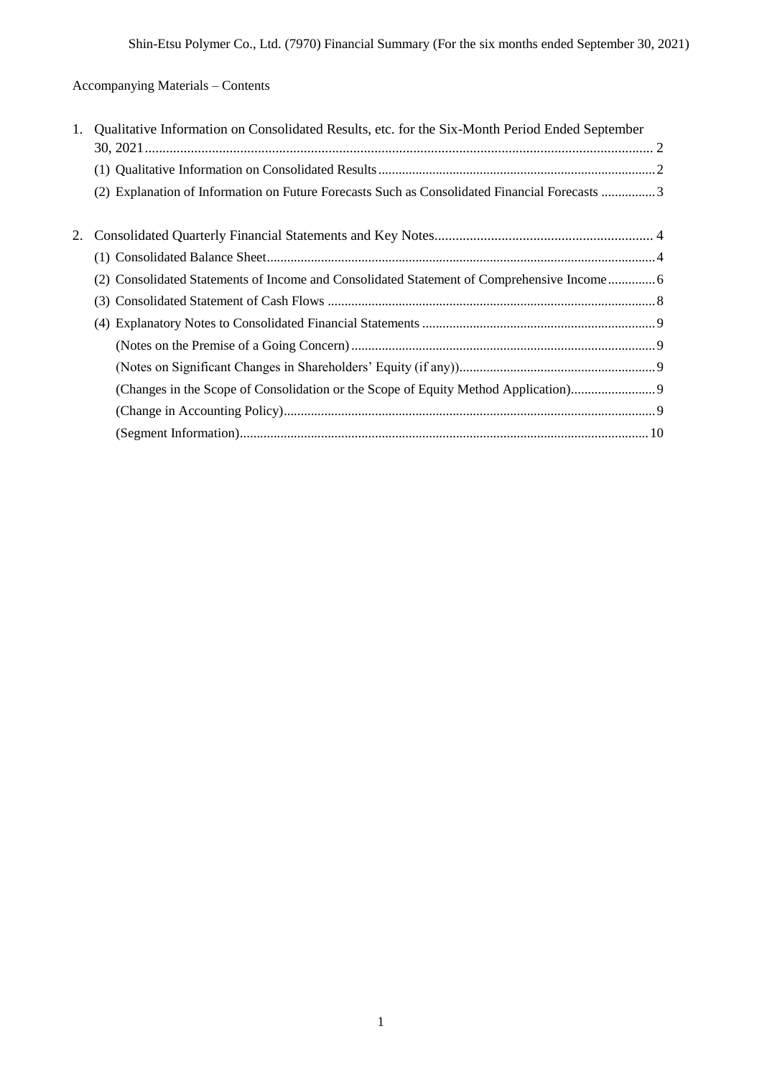# Accompanying Materials – Contents

| 1. | Qualitative Information on Consolidated Results, etc. for the Six-Month Period Ended September |
|----|------------------------------------------------------------------------------------------------|
|    |                                                                                                |
|    | (2) Explanation of Information on Future Forecasts Such as Consolidated Financial Forecasts 3  |
| 2. |                                                                                                |
|    |                                                                                                |
|    | (2) Consolidated Statements of Income and Consolidated Statement of Comprehensive Income       |
|    |                                                                                                |
|    |                                                                                                |
|    |                                                                                                |
|    |                                                                                                |
|    | (Changes in the Scope of Consolidation or the Scope of Equity Method Application)9             |
|    |                                                                                                |
|    |                                                                                                |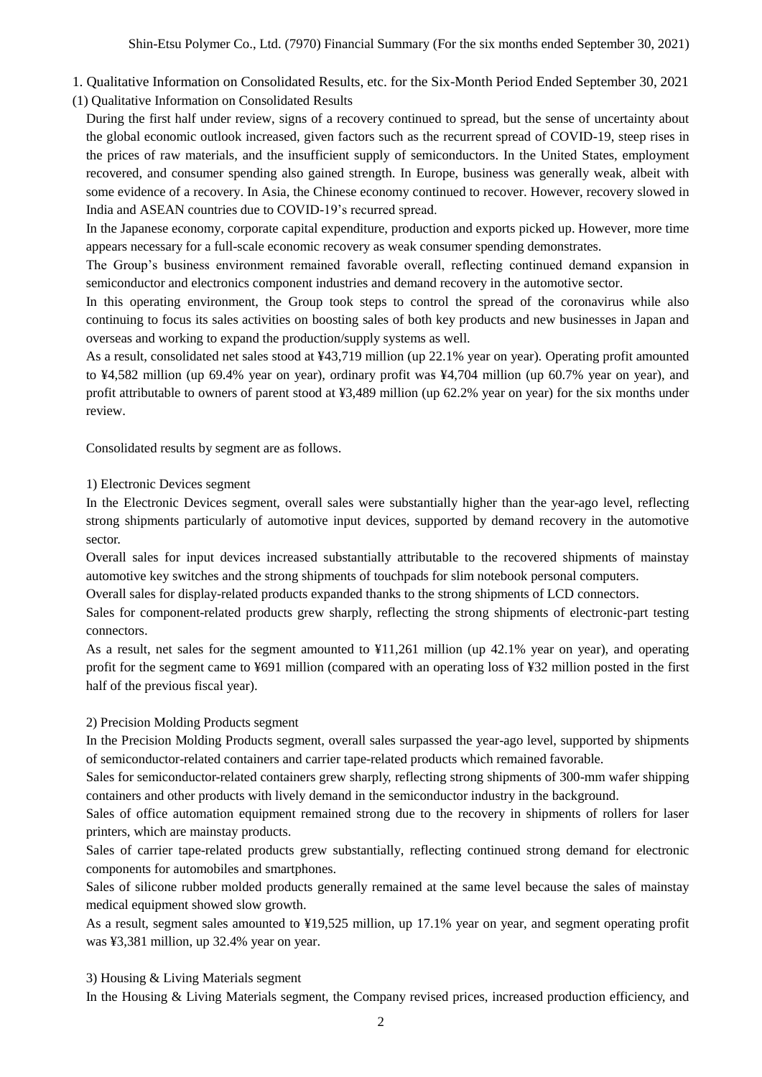1. Qualitative Information on Consolidated Results, etc. for the Six-Month Period Ended September 30, 2021

(1) Qualitative Information on Consolidated Results

During the first half under review, signs of a recovery continued to spread, but the sense of uncertainty about the global economic outlook increased, given factors such as the recurrent spread of COVID-19, steep rises in the prices of raw materials, and the insufficient supply of semiconductors. In the United States, employment recovered, and consumer spending also gained strength. In Europe, business was generally weak, albeit with some evidence of a recovery. In Asia, the Chinese economy continued to recover. However, recovery slowed in India and ASEAN countries due to COVID-19's recurred spread.

In the Japanese economy, corporate capital expenditure, production and exports picked up. However, more time appears necessary for a full-scale economic recovery as weak consumer spending demonstrates.

The Group's business environment remained favorable overall, reflecting continued demand expansion in semiconductor and electronics component industries and demand recovery in the automotive sector.

In this operating environment, the Group took steps to control the spread of the coronavirus while also continuing to focus its sales activities on boosting sales of both key products and new businesses in Japan and overseas and working to expand the production/supply systems as well.

As a result, consolidated net sales stood at ¥43,719 million (up 22.1% year on year). Operating profit amounted to ¥4,582 million (up 69.4% year on year), ordinary profit was ¥4,704 million (up 60.7% year on year), and profit attributable to owners of parent stood at ¥3,489 million (up 62.2% year on year) for the six months under review.

Consolidated results by segment are as follows.

#### 1) Electronic Devices segment

In the Electronic Devices segment, overall sales were substantially higher than the year-ago level, reflecting strong shipments particularly of automotive input devices, supported by demand recovery in the automotive sector.

Overall sales for input devices increased substantially attributable to the recovered shipments of mainstay automotive key switches and the strong shipments of touchpads for slim notebook personal computers.

Overall sales for display-related products expanded thanks to the strong shipments of LCD connectors.

Sales for component-related products grew sharply, reflecting the strong shipments of electronic-part testing connectors.

As a result, net sales for the segment amounted to ¥11,261 million (up 42.1% year on year), and operating profit for the segment came to ¥691 million (compared with an operating loss of ¥32 million posted in the first half of the previous fiscal year).

#### 2) Precision Molding Products segment

In the Precision Molding Products segment, overall sales surpassed the year-ago level, supported by shipments of semiconductor-related containers and carrier tape-related products which remained favorable.

Sales for semiconductor-related containers grew sharply, reflecting strong shipments of 300-mm wafer shipping containers and other products with lively demand in the semiconductor industry in the background.

Sales of office automation equipment remained strong due to the recovery in shipments of rollers for laser printers, which are mainstay products.

Sales of carrier tape-related products grew substantially, reflecting continued strong demand for electronic components for automobiles and smartphones.

Sales of silicone rubber molded products generally remained at the same level because the sales of mainstay medical equipment showed slow growth.

As a result, segment sales amounted to ¥19,525 million, up 17.1% year on year, and segment operating profit was ¥3,381 million, up 32.4% year on year.

3) Housing & Living Materials segment

In the Housing & Living Materials segment, the Company revised prices, increased production efficiency, and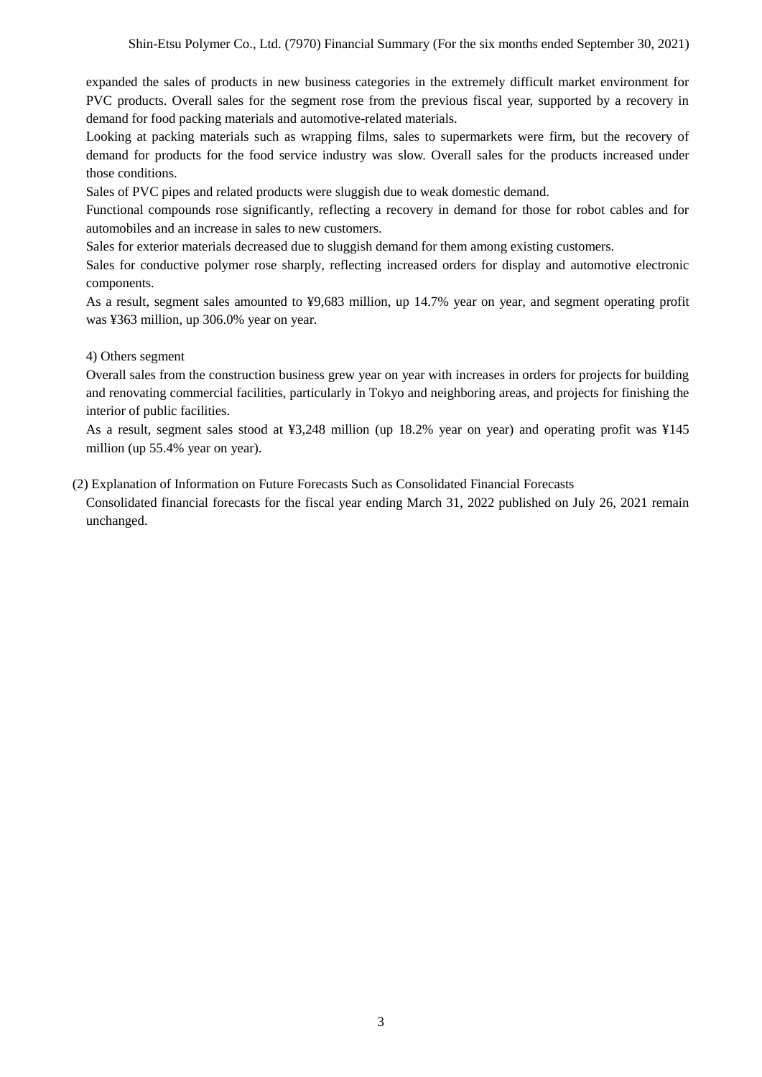expanded the sales of products in new business categories in the extremely difficult market environment for PVC products. Overall sales for the segment rose from the previous fiscal year, supported by a recovery in demand for food packing materials and automotive-related materials.

Looking at packing materials such as wrapping films, sales to supermarkets were firm, but the recovery of demand for products for the food service industry was slow. Overall sales for the products increased under those conditions.

Sales of PVC pipes and related products were sluggish due to weak domestic demand.

Functional compounds rose significantly, reflecting a recovery in demand for those for robot cables and for automobiles and an increase in sales to new customers.

Sales for exterior materials decreased due to sluggish demand for them among existing customers.

Sales for conductive polymer rose sharply, reflecting increased orders for display and automotive electronic components.

As a result, segment sales amounted to ¥9,683 million, up 14.7% year on year, and segment operating profit was ¥363 million, up 306.0% year on year.

#### 4) Others segment

Overall sales from the construction business grew year on year with increases in orders for projects for building and renovating commercial facilities, particularly in Tokyo and neighboring areas, and projects for finishing the interior of public facilities.

As a result, segment sales stood at ¥3,248 million (up 18.2% year on year) and operating profit was ¥145 million (up 55.4% year on year).

(2) Explanation of Information on Future Forecasts Such as Consolidated Financial Forecasts

Consolidated financial forecasts for the fiscal year ending March 31, 2022 published on July 26, 2021 remain unchanged.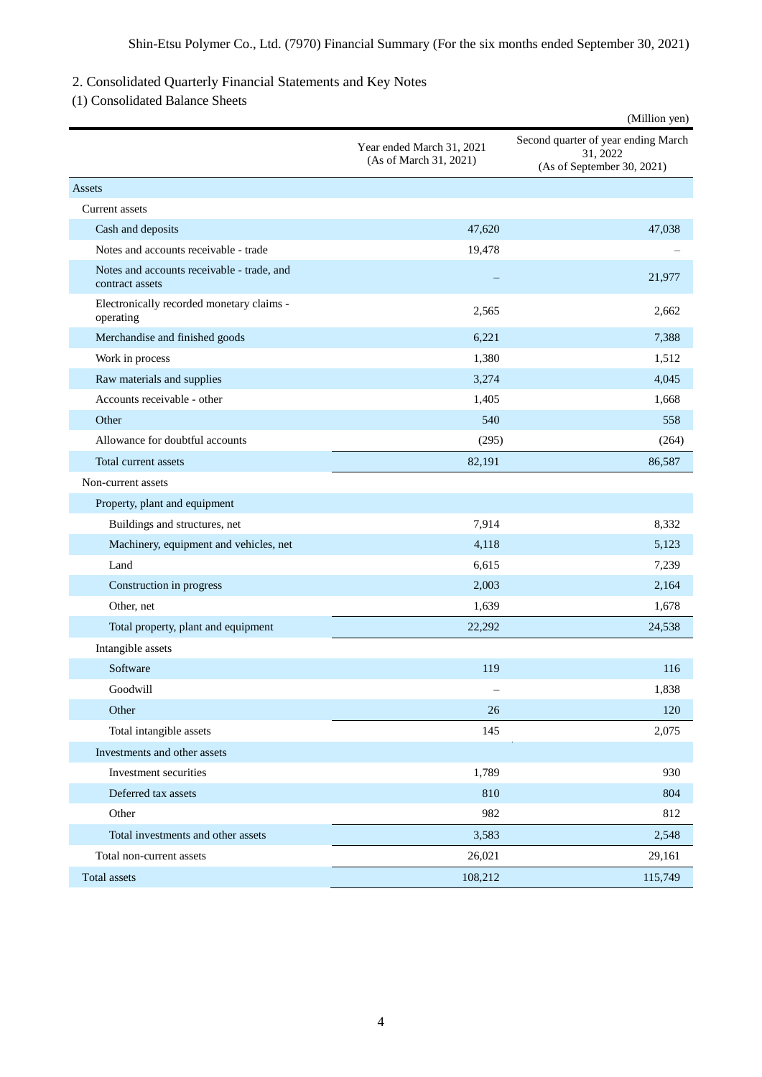## 2. Consolidated Quarterly Financial Statements and Key Notes

(1) Consolidated Balance Sheets

|                                                               |                                                     | (Million yen)                                                                 |
|---------------------------------------------------------------|-----------------------------------------------------|-------------------------------------------------------------------------------|
|                                                               | Year ended March 31, 2021<br>(As of March 31, 2021) | Second quarter of year ending March<br>31, 2022<br>(As of September 30, 2021) |
| Assets                                                        |                                                     |                                                                               |
| Current assets                                                |                                                     |                                                                               |
| Cash and deposits                                             | 47,620                                              | 47,038                                                                        |
| Notes and accounts receivable - trade                         | 19,478                                              |                                                                               |
| Notes and accounts receivable - trade, and<br>contract assets |                                                     | 21,977                                                                        |
| Electronically recorded monetary claims -<br>operating        | 2,565                                               | 2,662                                                                         |
| Merchandise and finished goods                                | 6,221                                               | 7,388                                                                         |
| Work in process                                               | 1,380                                               | 1,512                                                                         |
| Raw materials and supplies                                    | 3,274                                               | 4,045                                                                         |
| Accounts receivable - other                                   | 1,405                                               | 1,668                                                                         |
| Other                                                         | 540                                                 | 558                                                                           |
| Allowance for doubtful accounts                               | (295)                                               | (264)                                                                         |
| Total current assets                                          | 82,191                                              | 86,587                                                                        |
| Non-current assets                                            |                                                     |                                                                               |
| Property, plant and equipment                                 |                                                     |                                                                               |
| Buildings and structures, net                                 | 7,914                                               | 8,332                                                                         |
| Machinery, equipment and vehicles, net                        | 4,118                                               | 5,123                                                                         |
| Land                                                          | 6,615                                               | 7,239                                                                         |
| Construction in progress                                      | 2,003                                               | 2,164                                                                         |
| Other, net                                                    | 1,639                                               | 1,678                                                                         |
| Total property, plant and equipment                           | 22,292                                              | 24,538                                                                        |
| Intangible assets                                             |                                                     |                                                                               |
| Software                                                      | 119                                                 | 116                                                                           |
| Goodwill                                                      |                                                     | 1,838                                                                         |
| Other                                                         | 26                                                  | 120                                                                           |
| Total intangible assets                                       | 145                                                 | 2,075                                                                         |
| Investments and other assets                                  |                                                     |                                                                               |
| Investment securities                                         | 1,789                                               | 930                                                                           |
| Deferred tax assets                                           | 810                                                 | 804                                                                           |
| Other                                                         | 982                                                 | 812                                                                           |
| Total investments and other assets                            | 3,583                                               | 2,548                                                                         |
| Total non-current assets                                      | 26,021                                              | 29,161                                                                        |
| Total assets                                                  | 108,212                                             | 115,749                                                                       |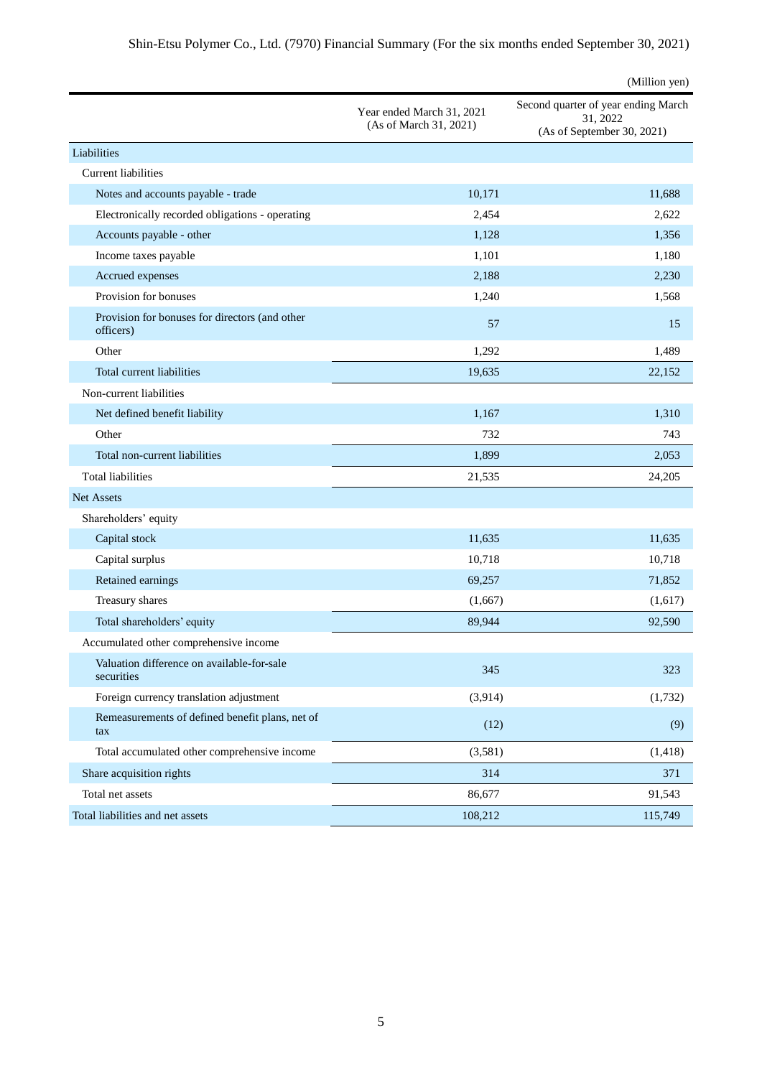|                                                             |                                                     | (Million yen)                                                                 |
|-------------------------------------------------------------|-----------------------------------------------------|-------------------------------------------------------------------------------|
|                                                             | Year ended March 31, 2021<br>(As of March 31, 2021) | Second quarter of year ending March<br>31, 2022<br>(As of September 30, 2021) |
| Liabilities                                                 |                                                     |                                                                               |
| <b>Current liabilities</b>                                  |                                                     |                                                                               |
| Notes and accounts payable - trade                          | 10,171                                              | 11,688                                                                        |
| Electronically recorded obligations - operating             | 2,454                                               | 2,622                                                                         |
| Accounts payable - other                                    | 1,128                                               | 1,356                                                                         |
| Income taxes payable                                        | 1,101                                               | 1,180                                                                         |
| Accrued expenses                                            | 2,188                                               | 2,230                                                                         |
| Provision for bonuses                                       | 1,240                                               | 1,568                                                                         |
| Provision for bonuses for directors (and other<br>officers) | 57                                                  | 15                                                                            |
| Other                                                       | 1,292                                               | 1,489                                                                         |
| Total current liabilities                                   | 19.635                                              | 22,152                                                                        |
| Non-current liabilities                                     |                                                     |                                                                               |
| Net defined benefit liability                               | 1,167                                               | 1,310                                                                         |
| Other                                                       | 732                                                 | 743                                                                           |
| Total non-current liabilities                               | 1,899                                               | 2,053                                                                         |
| <b>Total liabilities</b>                                    | 21,535                                              | 24,205                                                                        |
| Net Assets                                                  |                                                     |                                                                               |
| Shareholders' equity                                        |                                                     |                                                                               |
| Capital stock                                               | 11,635                                              | 11,635                                                                        |
| Capital surplus                                             | 10,718                                              | 10,718                                                                        |
| Retained earnings                                           | 69,257                                              | 71,852                                                                        |
| Treasury shares                                             | (1,667)                                             | (1,617)                                                                       |
| Total shareholders' equity                                  | 89,944                                              | 92,590                                                                        |
| Accumulated other comprehensive income                      |                                                     |                                                                               |
| Valuation difference on available-for-sale<br>securities    | 345                                                 | 323                                                                           |
| Foreign currency translation adjustment                     | (3,914)                                             | (1,732)                                                                       |
| Remeasurements of defined benefit plans, net of<br>tax      | (12)                                                | (9)                                                                           |
| Total accumulated other comprehensive income                | (3,581)                                             | (1, 418)                                                                      |
| Share acquisition rights                                    | 314                                                 | 371                                                                           |
| Total net assets                                            | 86,677                                              | 91,543                                                                        |
| Total liabilities and net assets                            | 108,212                                             | 115,749                                                                       |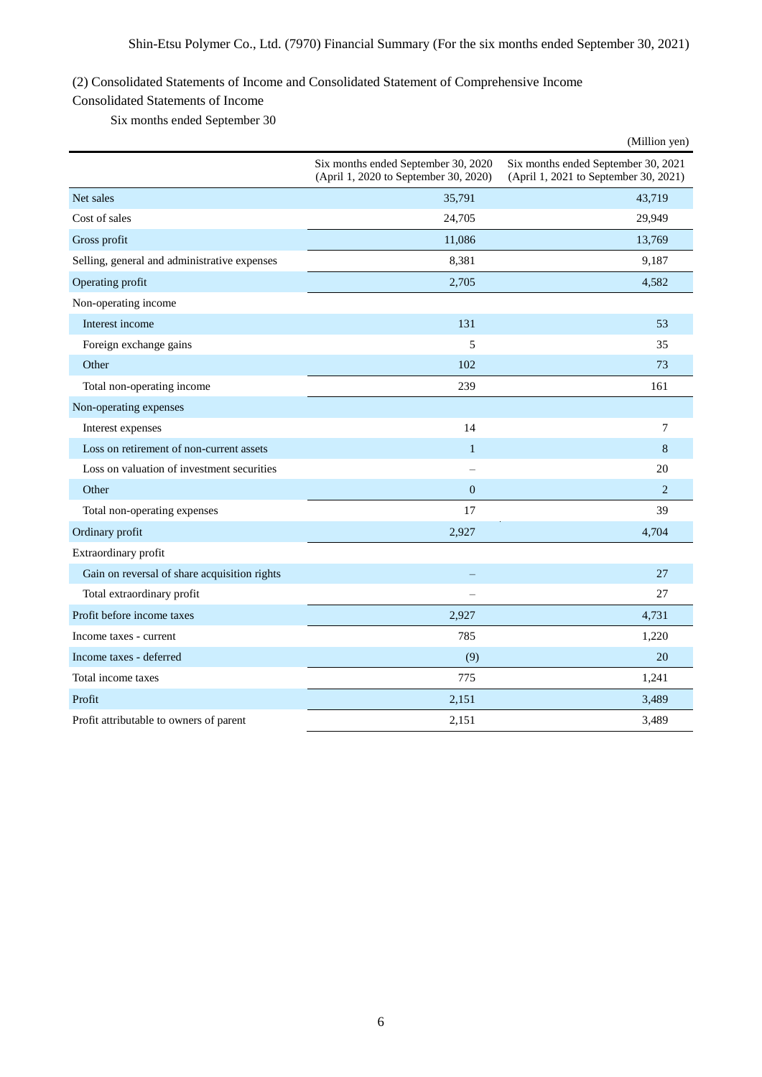## (2) Consolidated Statements of Income and Consolidated Statement of Comprehensive Income

### Consolidated Statements of Income

Six months ended September 30

|                                              |                                                                              | (Million yen)                                                                |
|----------------------------------------------|------------------------------------------------------------------------------|------------------------------------------------------------------------------|
|                                              | Six months ended September 30, 2020<br>(April 1, 2020 to September 30, 2020) | Six months ended September 30, 2021<br>(April 1, 2021 to September 30, 2021) |
| Net sales                                    | 35,791                                                                       | 43,719                                                                       |
| Cost of sales                                | 24,705                                                                       | 29,949                                                                       |
| Gross profit                                 | 11,086                                                                       | 13,769                                                                       |
| Selling, general and administrative expenses | 8,381                                                                        | 9,187                                                                        |
| Operating profit                             | 2,705                                                                        | 4,582                                                                        |
| Non-operating income                         |                                                                              |                                                                              |
| Interest income                              | 131                                                                          | 53                                                                           |
| Foreign exchange gains                       | 5                                                                            | 35                                                                           |
| Other                                        | 102                                                                          | 73                                                                           |
| Total non-operating income                   | 239                                                                          | 161                                                                          |
| Non-operating expenses                       |                                                                              |                                                                              |
| Interest expenses                            | 14                                                                           | 7                                                                            |
| Loss on retirement of non-current assets     | $\mathbf{1}$                                                                 | 8                                                                            |
| Loss on valuation of investment securities   |                                                                              | 20                                                                           |
| Other                                        | $\mathbf{0}$                                                                 | $\overline{2}$                                                               |
| Total non-operating expenses                 | 17                                                                           | 39                                                                           |
| Ordinary profit                              | 2,927                                                                        | 4,704                                                                        |
| Extraordinary profit                         |                                                                              |                                                                              |
| Gain on reversal of share acquisition rights |                                                                              | 27                                                                           |
| Total extraordinary profit                   |                                                                              | 27                                                                           |
| Profit before income taxes                   | 2,927                                                                        | 4,731                                                                        |
| Income taxes - current                       | 785                                                                          | 1,220                                                                        |
| Income taxes - deferred                      | (9)                                                                          | 20                                                                           |
| Total income taxes                           | 775                                                                          | 1,241                                                                        |
| Profit                                       | 2,151                                                                        | 3,489                                                                        |
| Profit attributable to owners of parent      | 2,151                                                                        | 3,489                                                                        |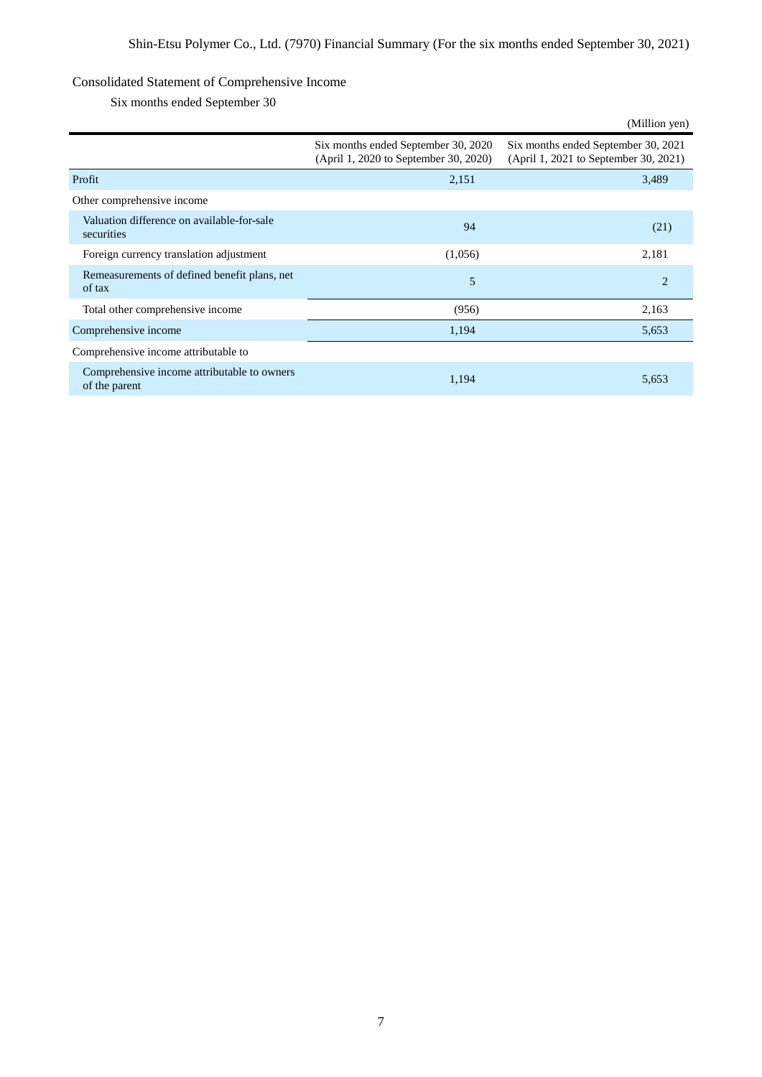## Consolidated Statement of Comprehensive Income

Six months ended September 30

|                                                              |                                                                              | (Million yen)                                                                |
|--------------------------------------------------------------|------------------------------------------------------------------------------|------------------------------------------------------------------------------|
|                                                              | Six months ended September 30, 2020<br>(April 1, 2020 to September 30, 2020) | Six months ended September 30, 2021<br>(April 1, 2021 to September 30, 2021) |
| Profit                                                       | 2,151                                                                        | 3,489                                                                        |
| Other comprehensive income                                   |                                                                              |                                                                              |
| Valuation difference on available-for-sale<br>securities     | 94                                                                           | (21)                                                                         |
| Foreign currency translation adjustment                      | (1,056)                                                                      | 2,181                                                                        |
| Remeasurements of defined benefit plans, net<br>of tax       | 5                                                                            | $\overline{2}$                                                               |
| Total other comprehensive income                             | (956)                                                                        | 2,163                                                                        |
| Comprehensive income                                         | 1,194                                                                        | 5,653                                                                        |
| Comprehensive income attributable to                         |                                                                              |                                                                              |
| Comprehensive income attributable to owners<br>of the parent | 1,194                                                                        | 5,653                                                                        |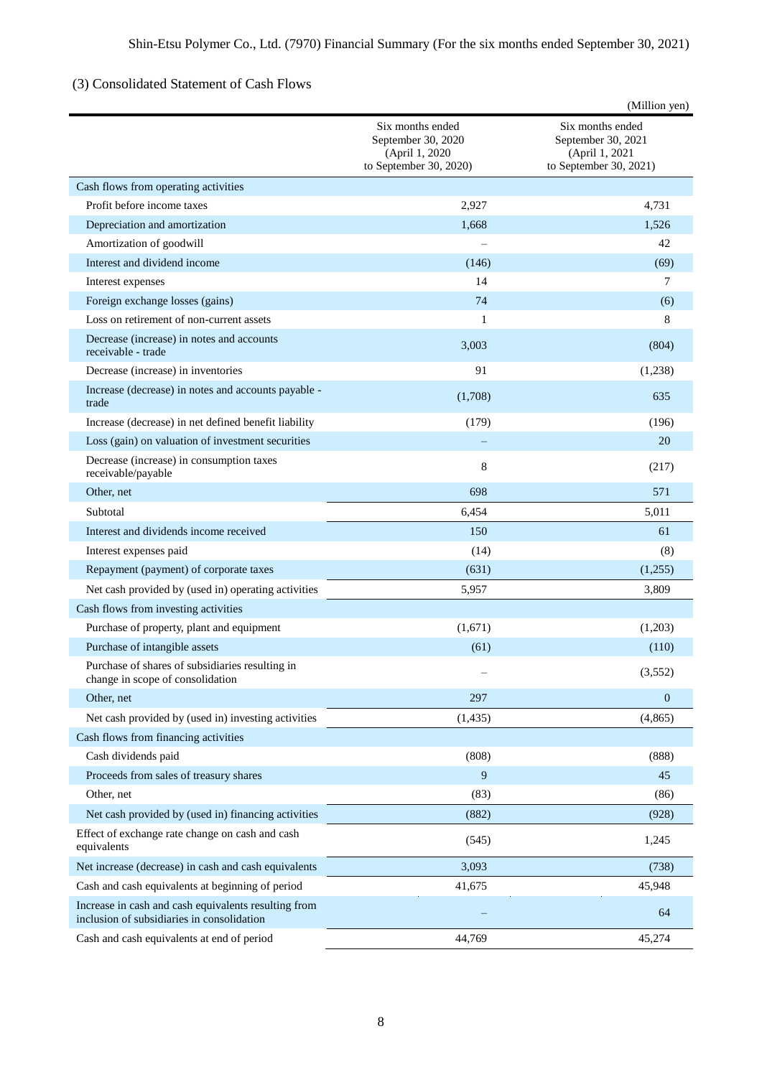# (3) Consolidated Statement of Cash Flows

|                                                                                                    |                                                                                    | (Million yen)                                                                      |  |
|----------------------------------------------------------------------------------------------------|------------------------------------------------------------------------------------|------------------------------------------------------------------------------------|--|
|                                                                                                    | Six months ended<br>September 30, 2020<br>(April 1, 2020<br>to September 30, 2020) | Six months ended<br>September 30, 2021<br>(April 1, 2021<br>to September 30, 2021) |  |
| Cash flows from operating activities                                                               |                                                                                    |                                                                                    |  |
| Profit before income taxes                                                                         | 2,927                                                                              | 4,731                                                                              |  |
| Depreciation and amortization                                                                      | 1,668                                                                              | 1,526                                                                              |  |
| Amortization of goodwill                                                                           |                                                                                    | 42                                                                                 |  |
| Interest and dividend income                                                                       | (146)                                                                              | (69)                                                                               |  |
| Interest expenses                                                                                  | 14                                                                                 | 7                                                                                  |  |
| Foreign exchange losses (gains)                                                                    | 74                                                                                 | (6)                                                                                |  |
| Loss on retirement of non-current assets                                                           | $\mathbf{1}$                                                                       | 8                                                                                  |  |
| Decrease (increase) in notes and accounts<br>receivable - trade                                    | 3,003                                                                              | (804)                                                                              |  |
| Decrease (increase) in inventories                                                                 | 91                                                                                 | (1,238)                                                                            |  |
| Increase (decrease) in notes and accounts payable -<br>trade                                       | (1,708)                                                                            | 635                                                                                |  |
| Increase (decrease) in net defined benefit liability                                               | (179)                                                                              | (196)                                                                              |  |
| Loss (gain) on valuation of investment securities                                                  |                                                                                    | 20                                                                                 |  |
| Decrease (increase) in consumption taxes<br>receivable/payable                                     | 8                                                                                  | (217)                                                                              |  |
| Other, net                                                                                         | 698                                                                                | 571                                                                                |  |
| Subtotal                                                                                           | 6,454                                                                              | 5,011                                                                              |  |
| Interest and dividends income received                                                             | 150                                                                                | 61                                                                                 |  |
| Interest expenses paid                                                                             | (14)                                                                               | (8)                                                                                |  |
| Repayment (payment) of corporate taxes                                                             | (631)                                                                              | (1,255)                                                                            |  |
| Net cash provided by (used in) operating activities                                                | 5,957                                                                              | 3,809                                                                              |  |
| Cash flows from investing activities                                                               |                                                                                    |                                                                                    |  |
| Purchase of property, plant and equipment                                                          | (1,671)                                                                            | (1,203)                                                                            |  |
| Purchase of intangible assets                                                                      | (61)                                                                               | (110)                                                                              |  |
| Purchase of shares of subsidiaries resulting in<br>change in scope of consolidation                |                                                                                    | (3,552)                                                                            |  |
| Other, net                                                                                         | 297                                                                                | $\overline{0}$                                                                     |  |
| Net cash provided by (used in) investing activities                                                | (1, 435)                                                                           | (4, 865)                                                                           |  |
| Cash flows from financing activities                                                               |                                                                                    |                                                                                    |  |
| Cash dividends paid                                                                                | (808)                                                                              | (888)                                                                              |  |
| Proceeds from sales of treasury shares                                                             | 9                                                                                  | 45                                                                                 |  |
| Other, net                                                                                         | (83)                                                                               | (86)                                                                               |  |
| Net cash provided by (used in) financing activities                                                | (882)                                                                              | (928)                                                                              |  |
| Effect of exchange rate change on cash and cash<br>equivalents                                     | (545)                                                                              | 1,245                                                                              |  |
| Net increase (decrease) in cash and cash equivalents                                               | 3,093                                                                              | (738)                                                                              |  |
| Cash and cash equivalents at beginning of period                                                   | 41,675                                                                             | 45,948                                                                             |  |
| Increase in cash and cash equivalents resulting from<br>inclusion of subsidiaries in consolidation |                                                                                    | 64                                                                                 |  |
| Cash and cash equivalents at end of period                                                         | 44,769                                                                             | 45,274                                                                             |  |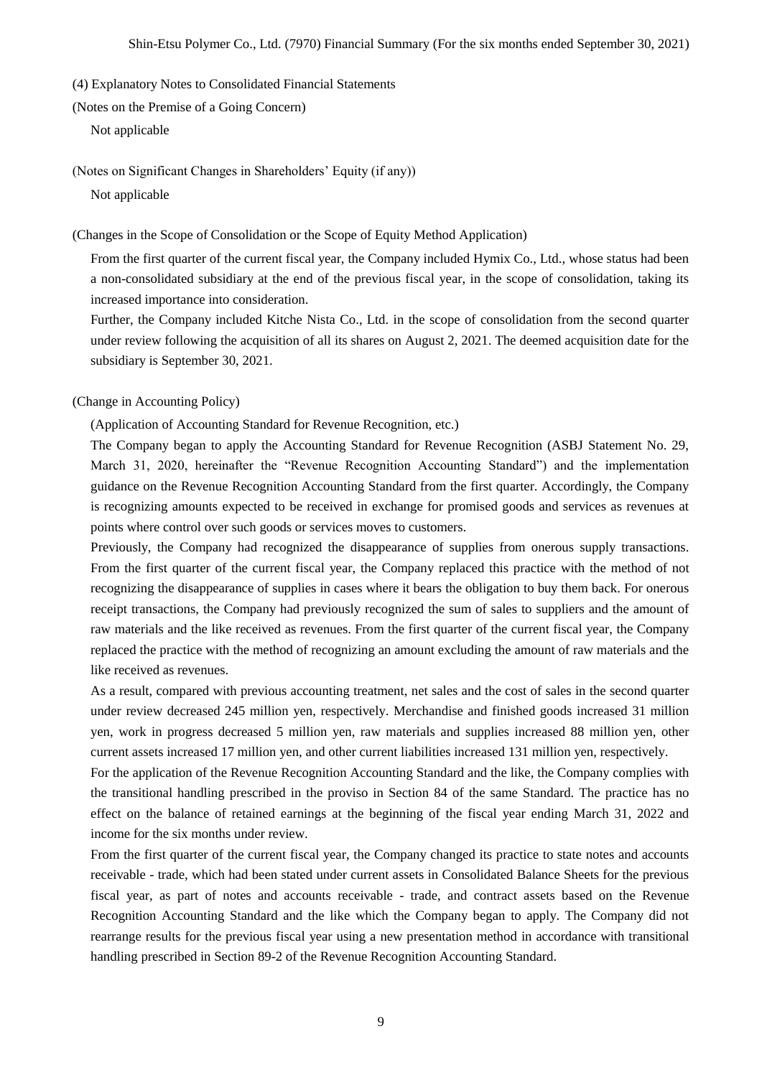(4) Explanatory Notes to Consolidated Financial Statements

(Notes on the Premise of a Going Concern)

Not applicable

(Notes on Significant Changes in Shareholders' Equity (if any))

Not applicable

(Changes in the Scope of Consolidation or the Scope of Equity Method Application)

From the first quarter of the current fiscal year, the Company included Hymix Co., Ltd., whose status had been a non-consolidated subsidiary at the end of the previous fiscal year, in the scope of consolidation, taking its increased importance into consideration.

Further, the Company included Kitche Nista Co., Ltd. in the scope of consolidation from the second quarter under review following the acquisition of all its shares on August 2, 2021. The deemed acquisition date for the subsidiary is September 30, 2021.

(Change in Accounting Policy)

(Application of Accounting Standard for Revenue Recognition, etc.)

The Company began to apply the Accounting Standard for Revenue Recognition (ASBJ Statement No. 29, March 31, 2020, hereinafter the "Revenue Recognition Accounting Standard") and the implementation guidance on the Revenue Recognition Accounting Standard from the first quarter. Accordingly, the Company is recognizing amounts expected to be received in exchange for promised goods and services as revenues at points where control over such goods or services moves to customers.

Previously, the Company had recognized the disappearance of supplies from onerous supply transactions. From the first quarter of the current fiscal year, the Company replaced this practice with the method of not recognizing the disappearance of supplies in cases where it bears the obligation to buy them back. For onerous receipt transactions, the Company had previously recognized the sum of sales to suppliers and the amount of raw materials and the like received as revenues. From the first quarter of the current fiscal year, the Company replaced the practice with the method of recognizing an amount excluding the amount of raw materials and the like received as revenues.

As a result, compared with previous accounting treatment, net sales and the cost of sales in the second quarter under review decreased 245 million yen, respectively. Merchandise and finished goods increased 31 million yen, work in progress decreased 5 million yen, raw materials and supplies increased 88 million yen, other current assets increased 17 million yen, and other current liabilities increased 131 million yen, respectively.

For the application of the Revenue Recognition Accounting Standard and the like, the Company complies with the transitional handling prescribed in the proviso in Section 84 of the same Standard. The practice has no effect on the balance of retained earnings at the beginning of the fiscal year ending March 31, 2022 and income for the six months under review.

From the first quarter of the current fiscal year, the Company changed its practice to state notes and accounts receivable - trade, which had been stated under current assets in Consolidated Balance Sheets for the previous fiscal year, as part of notes and accounts receivable - trade, and contract assets based on the Revenue Recognition Accounting Standard and the like which the Company began to apply. The Company did not rearrange results for the previous fiscal year using a new presentation method in accordance with transitional handling prescribed in Section 89-2 of the Revenue Recognition Accounting Standard.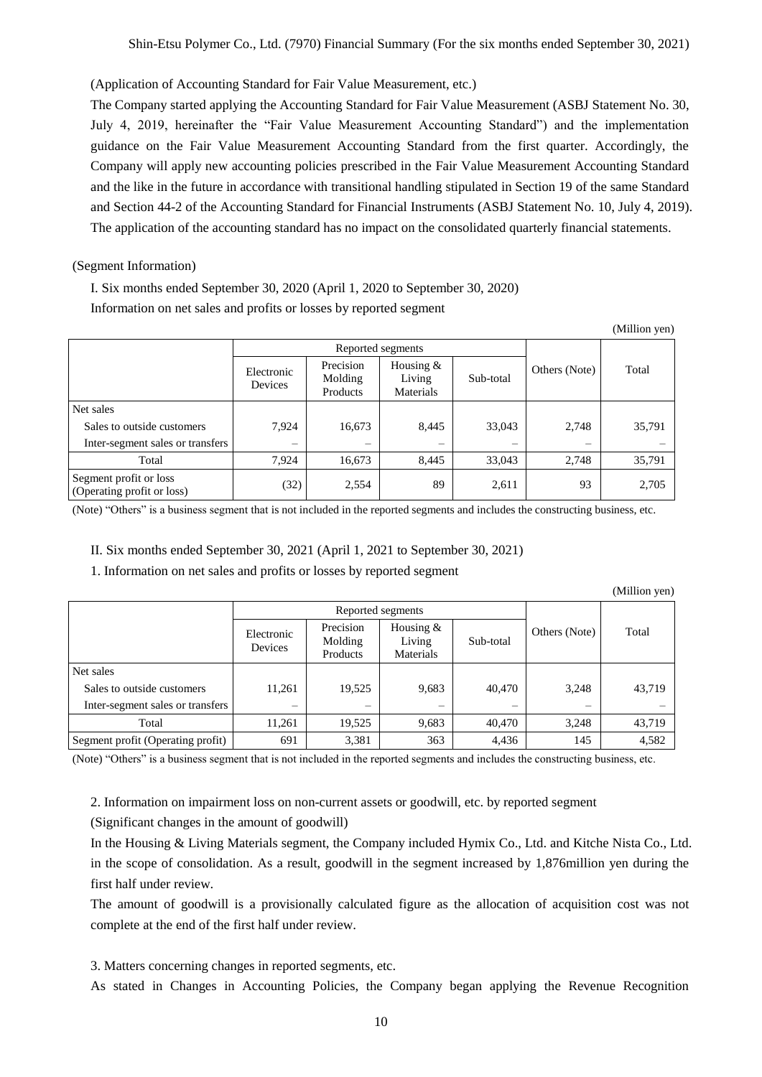(Application of Accounting Standard for Fair Value Measurement, etc.)

The Company started applying the Accounting Standard for Fair Value Measurement (ASBJ Statement No. 30, July 4, 2019, hereinafter the "Fair Value Measurement Accounting Standard") and the implementation guidance on the Fair Value Measurement Accounting Standard from the first quarter. Accordingly, the Company will apply new accounting policies prescribed in the Fair Value Measurement Accounting Standard and the like in the future in accordance with transitional handling stipulated in Section 19 of the same Standard and Section 44-2 of the Accounting Standard for Financial Instruments (ASBJ Statement No. 10, July 4, 2019). The application of the accounting standard has no impact on the consolidated quarterly financial statements.

#### (Segment Information)

I. Six months ended September 30, 2020 (April 1, 2020 to September 30, 2020) Information on net sales and profits or losses by reported segment

(Million yen)

|                                                      | Reported segments        |                                  |                                    |           |               |        |
|------------------------------------------------------|--------------------------|----------------------------------|------------------------------------|-----------|---------------|--------|
|                                                      | Electronic<br>Devices    | Precision<br>Molding<br>Products | Housing $&$<br>Living<br>Materials | Sub-total | Others (Note) | Total  |
| Net sales                                            |                          |                                  |                                    |           |               |        |
| Sales to outside customers                           | 7,924                    | 16,673                           | 8,445                              | 33,043    | 2,748         | 35,791 |
| Inter-segment sales or transfers                     | $\overline{\phantom{0}}$ |                                  | -                                  |           | -             |        |
| Total                                                | 7.924                    | 16,673                           | 8.445                              | 33,043    | 2.748         | 35,791 |
| Segment profit or loss<br>(Operating profit or loss) | (32)                     | 2,554                            | 89                                 | 2,611     | 93            | 2,705  |

(Note) "Others" is a business segment that is not included in the reported segments and includes the constructing business, etc.

II. Six months ended September 30, 2021 (April 1, 2021 to September 30, 2021)

1. Information on net sales and profits or losses by reported segment

(Million yen)

|                                   |                       |                                  | Reported segments                  |           |               |        |
|-----------------------------------|-----------------------|----------------------------------|------------------------------------|-----------|---------------|--------|
|                                   | Electronic<br>Devices | Precision<br>Molding<br>Products | Housing $&$<br>Living<br>Materials | Sub-total | Others (Note) | Total  |
| Net sales                         |                       |                                  |                                    |           |               |        |
| Sales to outside customers        | 11,261                | 19,525                           | 9,683                              | 40,470    | 3,248         | 43,719 |
| Inter-segment sales or transfers  |                       |                                  |                                    |           |               |        |
| Total                             | 11.261                | 19.525                           | 9,683                              | 40,470    | 3.248         | 43,719 |
| Segment profit (Operating profit) | 691                   | 3,381                            | 363                                | 4,436     | 145           | 4,582  |

(Note) "Others" is a business segment that is not included in the reported segments and includes the constructing business, etc.

2. Information on impairment loss on non-current assets or goodwill, etc. by reported segment

(Significant changes in the amount of goodwill)

In the Housing & Living Materials segment, the Company included Hymix Co., Ltd. and Kitche Nista Co., Ltd. in the scope of consolidation. As a result, goodwill in the segment increased by 1,876million yen during the first half under review.

The amount of goodwill is a provisionally calculated figure as the allocation of acquisition cost was not complete at the end of the first half under review.

3. Matters concerning changes in reported segments, etc.

As stated in Changes in Accounting Policies, the Company began applying the Revenue Recognition